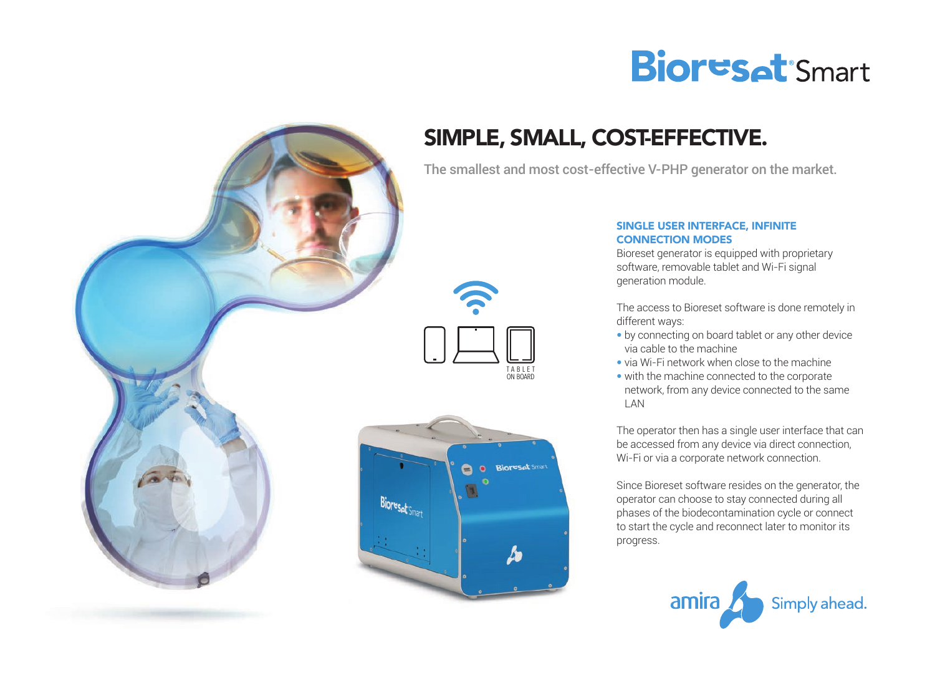



# SIMPLE, SMALL, COST-EFFECTIVE.

The smallest and most cost-effective V-PHP generator on the market.





### SINGLE USER INTERFACE, INFINITE CONNECTION MODES

Bioreset generator is equipped with proprietary software, removable tablet and Wi-Fi signal generation module.

The access to Bioreset software is done remotely in different ways:

- by connecting on board tablet or any other device via cable to the machine
- via Wi-Fi network when close to the machine
- with the machine connected to the corporate network, from any device connected to the same LAN

The operator then has a single user interface that can be accessed from any device via direct connection, Wi-Fi or via a corporate network connection.

Since Bioreset software resides on the generator, the operator can choose to stay connected during all phases of the biodecontamination cycle or connect to start the cycle and reconnect later to monitor its progress.

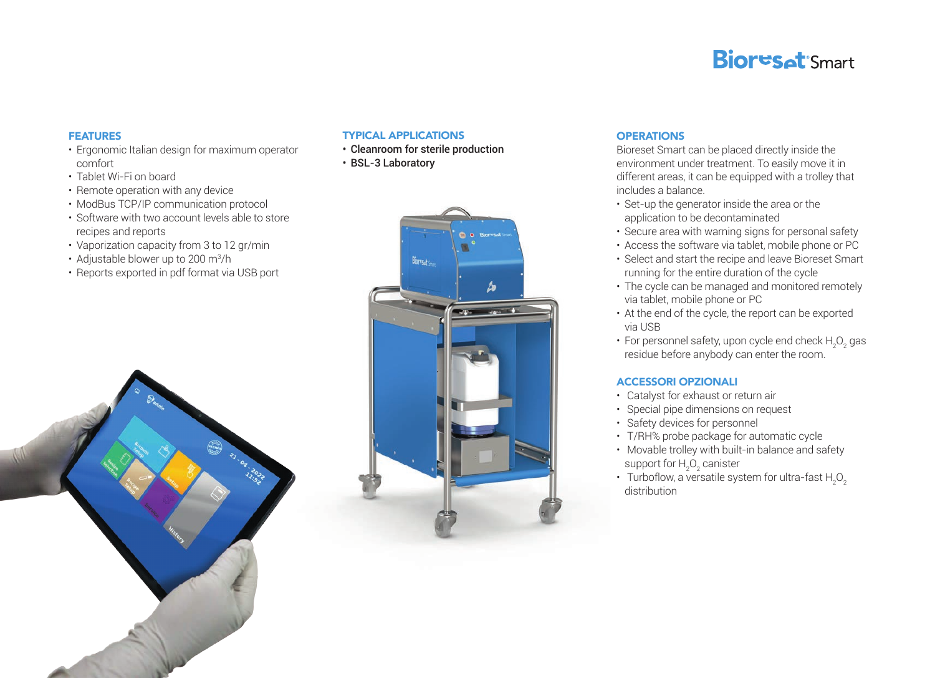### **Bioresat** Smart

#### FEATURES

- Ergonomic Italian design for maximum operator comfort
- Tablet Wi-Fi on board
- Remote operation with any device
- ModBus TCP/IP communication protocol
- Software with two account levels able to store recipes and reports
- Vaporization capacity from 3 to 12 gr/min
- Adjustable blower up to 200 m $\mathrm{^{3}/h}$
- Reports exported in pdf format via USB port

#### TYPICAL APPLICATIONS

- Cleanroom for sterile production
- BSL-3 Laboratory



### **OPERATIONS**

Bioreset Smart can be placed directly inside the environment under treatment. To easily move it in different areas, it can be equipped with a trolley that includes a balance.

- Set-up the generator inside the area or the application to be decontaminated
- Secure area with warning signs for personal safety
- Access the software via tablet, mobile phone or PC
- Select and start the recipe and leave Bioreset Smart running for the entire duration of the cycle
- The cycle can be managed and monitored remotely via tablet, mobile phone or PC
- At the end of the cycle, the report can be exported via USB
- For personnel safety, upon cycle end check  $H_2O_2$  gas residue before anybody can enter the room.

#### ACCESSORI OPZIONALI

- Catalyst for exhaust or return air
- Special pipe dimensions on request
- Safety devices for personnel
- T/RH% probe package for automatic cycle
- Movable trolley with built-in balance and safety support for  $H_2O_2$  canister
- Turboflow, a versatile system for ultra-fast  ${\sf H}_2^{\sf O}_2$ distribution